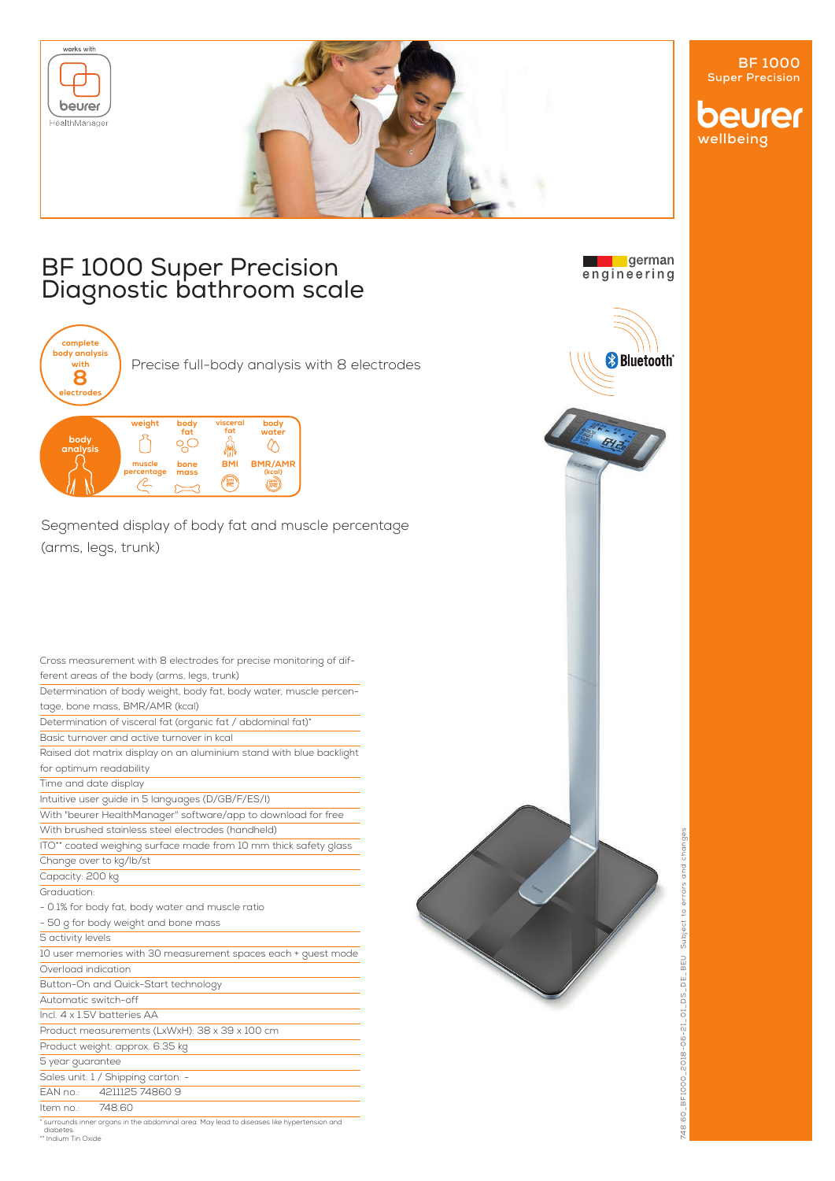

## BF 1000 Super Precision Diagnostic bathroom scale



Precise full-body analysis with 8 electrodes



Segmented display of body fat and muscle percentage (arms, legs, trunk)

|                      | Cross measurement with 8 electrodes for precise monitoring of dif-                         |
|----------------------|--------------------------------------------------------------------------------------------|
|                      | ferent areas of the body (arms, legs, trunk)                                               |
|                      | Determination of body weight, body fat, body water, muscle percen-                         |
|                      | tage, bone mass, BMR/AMR (kcal)                                                            |
|                      | Determination of visceral fat (organic fat / abdominal fat)*                               |
|                      | Basic turnover and active turnover in kcal                                                 |
|                      | Raised dot matrix display on an aluminium stand with blue backlight                        |
|                      | for optimum readability                                                                    |
|                      | Time and date display                                                                      |
|                      | Intuitive user guide in 5 languages (D/GB/F/ES/I)                                          |
|                      | With "beurer HealthManager" software/app to download for free                              |
|                      | With brushed stainless steel electrodes (handheld)                                         |
|                      | ITO** coated weighing surface made from 10 mm thick safety glass                           |
|                      | Change over to kg/lb/st                                                                    |
| Capacity: 200 kg     |                                                                                            |
| Graduation:          |                                                                                            |
|                      | - 0.1% for body fat, body water and muscle ratio                                           |
|                      | - 50 g for body weight and bone mass                                                       |
| 5 activity levels    |                                                                                            |
|                      | 10 user memories with 30 measurement spaces each + guest mode                              |
| Overload indication  |                                                                                            |
|                      | Button-On and Quick-Start technology                                                       |
| Automatic switch-off |                                                                                            |
|                      | Incl. 4 x 1.5V batteries AA                                                                |
|                      | Product measurements (LxWxH): 38 x 39 x 100 cm                                             |
|                      | Product weight: approx. 6.35 kg                                                            |
| 5 year guarantee     |                                                                                            |
|                      | Sales unit: 1 / Shipping carton: -                                                         |
|                      | FAN no.: 4211125 74860 9                                                                   |
| Item no.:            | 748.60                                                                                     |
| diabetes.            | * surrounds inner organs in the abdominal area. May lead to diseases like hypertension and |



**Long Exercise**<br>engineering



diabetes. \*\* Indium Tin Oxide